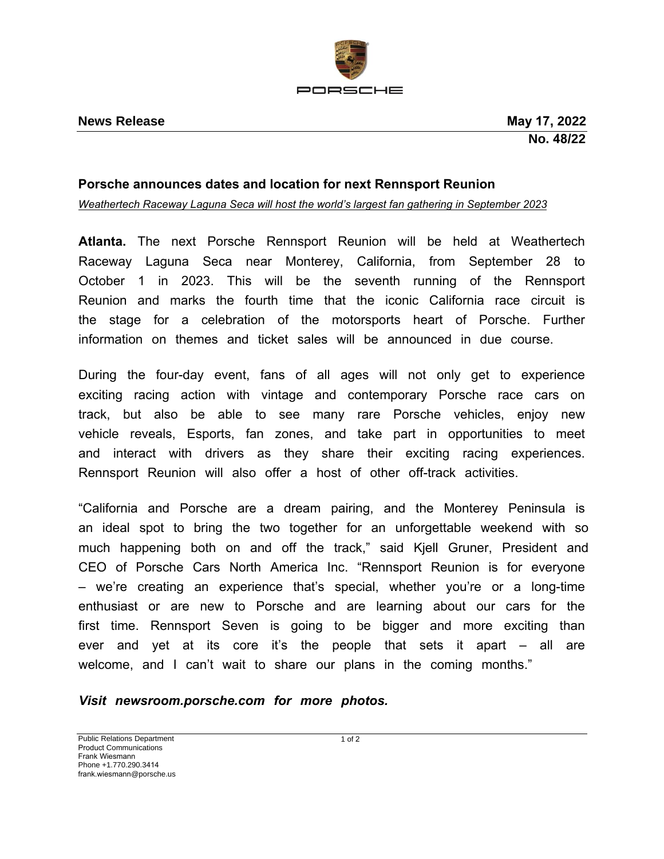

## **Porsche announces dates and location for next Rennsport Reunion**

*Weathertech Raceway Laguna Seca will host the world's largest fan gathering in September 2023*

**Atlanta.** The next Porsche Rennsport Reunion will be held at Weathertech Raceway Laguna Seca near Monterey, California, from September 28 to October 1 in 2023. This will be the seventh running of the Rennsport Reunion and marks the fourth time that the iconic California race circuit is the stage for a celebration of the motorsports heart of Porsche. Further information on themes and ticket sales will be announced in due course.

During the four-day event, fans of all ages will not only get to experience exciting racing action with vintage and contemporary Porsche race cars on track, but also be able to see many rare Porsche vehicles, enjoy new vehicle reveals, Esports, fan zones, and take part in opportunities to meet and interact with drivers as they share their exciting racing experiences. Rennsport Reunion will also offer a host of other off-track activities.

"California and Porsche are a dream pairing, and the Monterey Peninsula is an ideal spot to bring the two together for an unforgettable weekend with so much happening both on and off the track," said Kjell Gruner, President and CEO of Porsche Cars North America Inc. "Rennsport Reunion is for everyone – we're creating an experience that's special, whether you're or a long-time enthusiast or are new to Porsche and are learning about our cars for the first time. Rennsport Seven is going to be bigger and more exciting than ever and yet at its core it's the people that sets it apart – all are welcome, and I can't wait to share our plans in the coming months."

*Visit newsroom.porsche.com for more photos.*